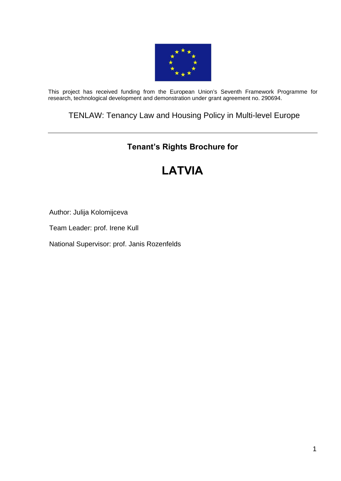

This project has received funding from the European Union's Seventh Framework Programme for research, technological development and demonstration under grant agreement no. 290694.

## TENLAW: Tenancy Law and Housing Policy in Multi-level Europe

## **Tenant's Rights Brochure for**

# **LATVIA**

Author: Julija Kolomijceva

Team Leader: prof. Irene Kull

National Supervisor: prof. Janis Rozenfelds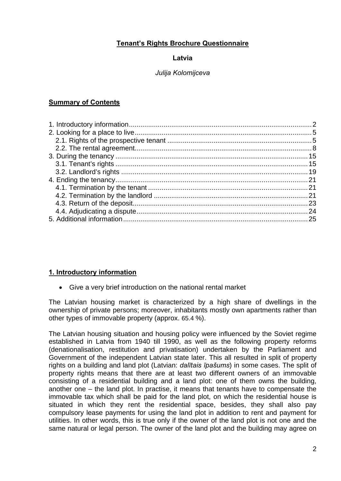## **Tenant's Rights Brochure Questionnaire**

#### **Latvia**

## *Julija Kolomijceva*

## **Summary of Contents**

## <span id="page-1-0"></span>**1. Introductory information**

Give a very brief introduction on the national rental market

The Latvian housing market is characterized by a high share of dwellings in the ownership of private persons; moreover, inhabitants mostly own apartments rather than other types of immovable property (approx. 65.4 %).

The Latvian housing situation and housing policy were influenced by the Soviet regime established in Latvia from 1940 till 1990, as well as the following property reforms (denationalisation, restitution and privatisation) undertaken by the Parliament and Government of the independent Latvian state later. This all resulted in split of property rights on a building and land plot (Latvian: *dalītais īpašums*) in some cases. The split of property rights means that there are at least two different owners of an immovable consisting of a residential building and a land plot: one of them owns the building, another one – the land plot. In practise, it means that tenants have to compensate the immovable tax which shall be paid for the land plot, on which the residential house is situated in which they rent the residential space, besides, they shall also pay compulsory lease payments for using the land plot in addition to rent and payment for utilities. In other words, this is true only if the owner of the land plot is not one and the same natural or legal person. The owner of the land plot and the building may agree on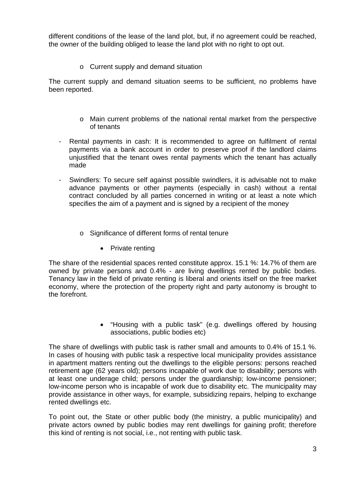different conditions of the lease of the land plot, but, if no agreement could be reached, the owner of the building obliged to lease the land plot with no right to opt out.

o Current supply and demand situation

The current supply and demand situation seems to be sufficient, no problems have been reported.

- o Main current problems of the national rental market from the perspective of tenants
- Rental payments in cash: It is recommended to agree on fulfilment of rental payments via a bank account in order to preserve proof if the landlord claims unjustified that the tenant owes rental payments which the tenant has actually made
- Swindlers: To secure self against possible swindlers, it is advisable not to make advance payments or other payments (especially in cash) without a rental contract concluded by all parties concerned in writing or at least a note which specifies the aim of a payment and is signed by a recipient of the money
	- o Significance of different forms of rental tenure
		- Private renting

The share of the residential spaces rented constitute approx. 15.1 %: 14.7% of them are owned by private persons and 0.4% - are living dwellings rented by public bodies. Tenancy law in the field of private renting is liberal and orients itself on the free market economy, where the protection of the property right and party autonomy is brought to the forefront.

> "Housing with a public task" (e.g. dwellings offered by housing associations, public bodies etc)

The share of dwellings with public task is rather small and amounts to 0.4% of 15.1 %. In cases of housing with public task a respective local municipality provides assistance in apartment matters renting out the dwellings to the eligible persons: persons reached retirement age (62 years old); persons incapable of work due to disability; persons with at least one underage child; persons under the guardianship; low-income pensioner; low-income person who is incapable of work due to disability etc. The municipality may provide assistance in other ways, for example, subsidizing repairs, helping to exchange rented dwellings etc.

To point out, the State or other public body (the ministry, a public municipality) and private actors owned by public bodies may rent dwellings for gaining profit; therefore this kind of renting is not social, i.e., not renting with public task.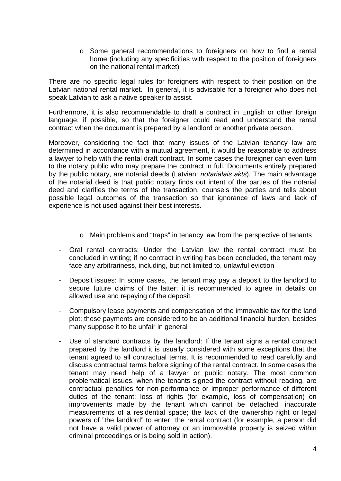$\circ$  Some general recommendations to foreigners on how to find a rental home (including any specificities with respect to the position of foreigners on the national rental market)

There are no specific legal rules for foreigners with respect to their position on the Latvian national rental market. In general, it is advisable for a foreigner who does not speak Latvian to ask a native speaker to assist.

Furthermore, it is also recommendable to draft a contract in English or other foreign language, if possible, so that the foreigner could read and understand the rental contract when the document is prepared by a landlord or another private person.

Moreover, considering the fact that many issues of the Latvian tenancy law are determined in accordance with a mutual agreement, it would be reasonable to address a lawyer to help with the rental draft contract. In some cases the foreigner can even turn to the notary public who may prepare the contract in full. Documents entirely prepared by the public notary, are notarial deeds (Latvian: *notariālais akts*). The main advantage of the notarial deed is that public notary finds out intent of the parties of the notarial deed and clarifies the terms of the transaction, counsels the parties and tells about possible legal outcomes of the transaction so that ignorance of laws and lack of experience is not used against their best interests.

- o Main problems and "traps" in tenancy law from the perspective of tenants
- Oral rental contracts: Under the Latvian law the rental contract must be concluded in writing; if no contract in writing has been concluded, the tenant may face any arbitrariness, including, but not limited to, unlawful eviction
- Deposit issues: In some cases, the tenant may pay a deposit to the landlord to secure future claims of the latter; it is recommended to agree in details on allowed use and repaying of the deposit
- Compulsory lease payments and compensation of the immovable tax for the land plot: these payments are considered to be an additional financial burden, besides many suppose it to be unfair in general
- Use of standard contracts by the landlord: If the tenant signs a rental contract prepared by the landlord it is usually considered with some exceptions that the tenant agreed to all contractual terms. It is recommended to read carefully and discuss contractual terms before signing of the rental contract. In some cases the tenant may need help of a lawyer or public notary. The most common problematical issues, when the tenants signed the contract without reading, are contractual penalties for non-performance or improper performance of different duties of the tenant; loss of rights (for example, loss of compensation) on improvements made by the tenant which cannot be detached; inaccurate measurements of a residential space; the lack of the ownership right or legal powers of "the landlord" to enter the rental contract (for example, a person did not have a valid power of attorney or an immovable property is seized within criminal proceedings or is being sold in action).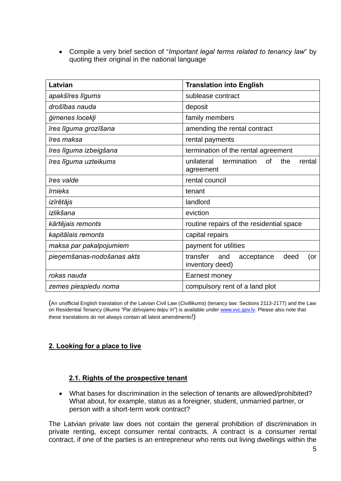Compile a very brief section of "*Important legal terms related to tenancy law*" by quoting their original in the national language

| Latvian                    | <b>Translation into English</b>                                      |
|----------------------------|----------------------------------------------------------------------|
| apakšīres līgums           | sublease contract                                                    |
| drošības nauda             | deposit                                                              |
| ģimenes locekļi            | family members                                                       |
| īres līguma grozīšana      | amending the rental contract                                         |
| īres maksa                 | rental payments                                                      |
| īres līguma izbeigšana     | termination of the rental agreement                                  |
| īres līguma uzteikums      | termination<br>unilateral<br><b>of</b><br>the<br>rental<br>agreement |
| īres valde                 | rental council                                                       |
| <b>Trnieks</b>             | tenant                                                               |
| izīrētājs                  | landlord                                                             |
| izlikšana                  | eviction                                                             |
| kārtējais remonts          | routine repairs of the residential space                             |
| kapitālais remonts         | capital repairs                                                      |
| maksa par pakalpojumiem    | payment for utilities                                                |
| pieņemšanas-nodošanas akts | transfer<br>deed<br>and<br>acceptance<br>(or<br>inventory deed)      |
| rokas nauda                | Earnest money                                                        |
| zemes piespiedu noma       | compulsory rent of a land plot                                       |

(An unofficial English translation of the Latvian Civil Law (*Civillikums*) (tenancy law: Sections 2113-2177) and the Law on Residential Tenancy (*likums "Par dzīvojamo telpu īri"*) is available under [www.vvc.gov.lv](http://www.vvc.gov.lv/). Please also note that these translations do not always contain all latest amendments!)

## <span id="page-4-1"></span><span id="page-4-0"></span>**2. Looking for a place to live**

## **2.1. Rights of the prospective tenant**

 What bases for discrimination in the selection of tenants are allowed/prohibited? What about, for example, status as a foreigner, student, unmarried partner, or person with a short-term work contract?

The Latvian private law does not contain the general prohibition of discrimination in private renting, except consumer rental contracts. A contract is a consumer rental contract, if one of the parties is an entrepreneur who rents out living dwellings within the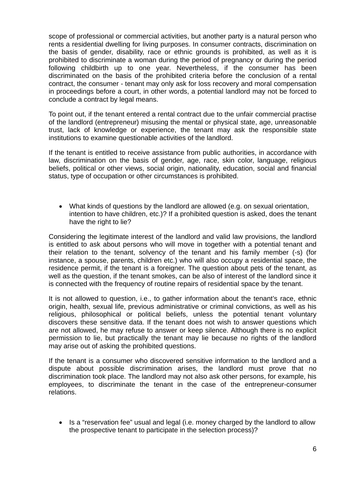scope of professional or commercial activities, but another party is a natural person who rents a residential dwelling for living purposes. In consumer contracts, discrimination on the basis of gender, disability, race or ethnic grounds is prohibited, as well as it is prohibited to discriminate a woman during the period of pregnancy or during the period following childbirth up to one year. Nevertheless, if the consumer has been discriminated on the basis of the prohibited criteria before the conclusion of a rental contract, the consumer - tenant may only ask for loss recovery and moral compensation in proceedings before a court, in other words, a potential landlord may not be forced to conclude a contract by legal means.

To point out, if the tenant entered a rental contract due to the unfair commercial practise of the landlord (entrepreneur) misusing the mental or physical state, age, unreasonable trust, lack of knowledge or experience, the tenant may ask the responsible state institutions to examine questionable activities of the landlord.

If the tenant is entitled to receive assistance from public authorities, in accordance with law, discrimination on the basis of gender, age, race, skin color, language, religious beliefs, political or other views, social origin, nationality, education, social and financial status, type of occupation or other circumstances is prohibited.

 What kinds of questions by the landlord are allowed (e.g. on sexual orientation, intention to have children, etc.)? If a prohibited question is asked, does the tenant have the right to lie?

Considering the legitimate interest of the landlord and valid law provisions, the landlord is entitled to ask about persons who will move in together with a potential tenant and their relation to the tenant, solvency of the tenant and his family member (-s) (for instance, a spouse, parents, children etc.) who will also occupy a residential space, the residence permit, if the tenant is a foreigner. The question about pets of the tenant, as well as the question, if the tenant smokes, can be also of interest of the landlord since it is connected with the frequency of routine repairs of residential space by the tenant.

It is not allowed to question, i.e., to gather information about the tenant's race, ethnic origin, health, sexual life, previous administrative or criminal convictions, as well as his religious, philosophical or political beliefs, unless the potential tenant voluntary discovers these sensitive data. If the tenant does not wish to answer questions which are not allowed, he may refuse to answer or keep silence. Although there is no explicit permission to lie, but practically the tenant may lie because no rights of the landlord may arise out of asking the prohibited questions.

If the tenant is a consumer who discovered sensitive information to the landlord and a dispute about possible discrimination arises, the landlord must prove that no discrimination took place. The landlord may not also ask other persons, for example, his employees, to discriminate the tenant in the case of the entrepreneur-consumer relations.

• Is a "reservation fee" usual and legal (i.e. money charged by the landlord to allow the prospective tenant to participate in the selection process)?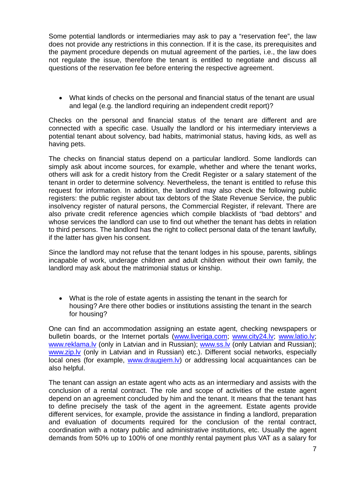Some potential landlords or intermediaries may ask to pay a "reservation fee", the law does not provide any restrictions in this connection. If it is the case, its prerequisites and the payment procedure depends on mutual agreement of the parties, i.e., the law does not regulate the issue, therefore the tenant is entitled to negotiate and discuss all questions of the reservation fee before entering the respective agreement.

 What kinds of checks on the personal and financial status of the tenant are usual and legal (e.g. the landlord requiring an independent credit report)?

Checks on the personal and financial status of the tenant are different and are connected with a specific case. Usually the landlord or his intermediary interviews a potential tenant about solvency, bad habits, matrimonial status, having kids, as well as having pets.

The checks on financial status depend on a particular landlord. Some landlords can simply ask about income sources, for example, whether and where the tenant works, others will ask for a credit history from the Credit Register or a salary statement of the tenant in order to determine solvency. Nevertheless, the tenant is entitled to refuse this request for information. In addition, the landlord may also check the following public registers: the public register about tax debtors of the State Revenue Service, the public insolvency register of natural persons, the Commercial Register, if relevant. There are also private credit reference agencies which compile blacklists of "bad debtors" and whose services the landlord can use to find out whether the tenant has debts in relation to third persons. The landlord has the right to collect personal data of the tenant lawfully, if the latter has given his consent.

Since the landlord may not refuse that the tenant lodges in his spouse, parents, siblings incapable of work, underage children and adult children without their own family, the landlord may ask about the matrimonial status or kinship.

 What is the role of estate agents in assisting the tenant in the search for housing? Are there other bodies or institutions assisting the tenant in the search for housing?

One can find an accommodation assigning an estate agent, checking newspapers or bulletin boards, or the Internet portals [\(www.liveriga.com](http://www.liveriga.com/); [www.city24.lv;](http://www.city24.lv/) [www.latio.lv](http://www.latio.lv/); www.reklama.ly (only in Latvian and in Russian); www.ss.ly (only Latvian and Russian); www.zip.ly (only in Latvian and in Russian) etc.). Different social networks, especially local ones (for example, www.draugiem.ly) or addressing local acquaintances can be also helpful.

The tenant can assign an estate agent who acts as an intermediary and assists with the conclusion of a rental contract. The role and scope of activities of the estate agent depend on an agreement concluded by him and the tenant. It means that the tenant has to define precisely the task of the agent in the agreement. Estate agents provide different services, for example, provide the assistance in finding a landlord, preparation and evaluation of documents required for the conclusion of the rental contract, coordination with a notary public and administrative institutions, etc. Usually the agent demands from 50% up to 100% of one monthly rental payment plus VAT as a salary for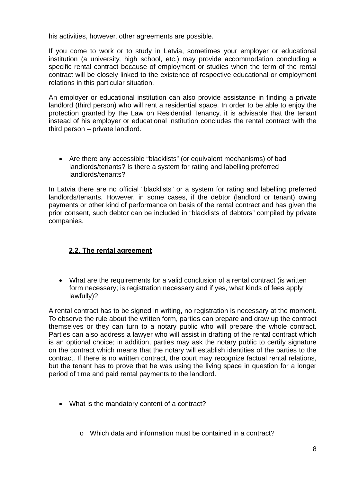his activities, however, other agreements are possible.

If you come to work or to study in Latvia, sometimes your employer or educational institution (a university, high school, etc.) may provide accommodation concluding a specific rental contract because of employment or studies when the term of the rental contract will be closely linked to the existence of respective educational or employment relations in this particular situation.

An employer or educational institution can also provide assistance in finding a private landlord (third person) who will rent a residential space. In order to be able to enjoy the protection granted by the Law on Residential Tenancy, it is advisable that the tenant instead of his employer or educational institution concludes the rental contract with the third person – private landlord.

 Are there any accessible "blacklists" (or equivalent mechanisms) of bad landlords/tenants? Is there a system for rating and labelling preferred landlords/tenants?

In Latvia there are no official "blacklists" or a system for rating and labelling preferred landlords/tenants. However, in some cases, if the debtor (landlord or tenant) owing payments or other kind of performance on basis of the rental contract and has given the prior consent, such debtor can be included in "blacklists of debtors" compiled by private companies.

## **2.2. The rental agreement**

<span id="page-7-0"></span> What are the requirements for a valid conclusion of a rental contract (is written form necessary; is registration necessary and if yes, what kinds of fees apply lawfully)?

A rental contract has to be signed in writing, no registration is necessary at the moment. To observe the rule about the written form, parties can prepare and draw up the contract themselves or they can turn to a notary public who will prepare the whole contract. Parties can also address a lawyer who will assist in drafting of the rental contract which is an optional choice; in addition, parties may ask the notary public to certify signature on the contract which means that the notary will establish identities of the parties to the contract. If there is no written contract, the court may recognize factual rental relations, but the tenant has to prove that he was using the living space in question for a longer period of time and paid rental payments to the landlord.

- What is the mandatory content of a contract?
	- o Which data and information must be contained in a contract?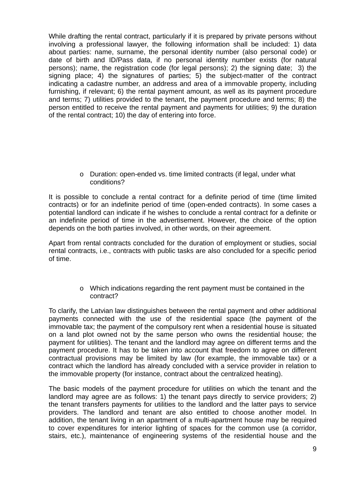While drafting the rental contract, particularly if it is prepared by private persons without involving a professional lawyer, the following information shall be included: 1) data about parties: name, surname, the personal identity number (also personal code) or date of birth and ID/Pass data, if no personal identity number exists (for natural persons); name, the registration code (for legal persons); 2) the signing date; 3) the signing place; 4) the signatures of parties; 5) the subject-matter of the contract indicating a cadastre number, an address and area of a immovable property, including furnishing, if relevant; 6) the rental payment amount, as well as its payment procedure and terms; 7) utilities provided to the tenant, the payment procedure and terms; 8) the person entitled to receive the rental payment and payments for utilities; 9) the duration of the rental contract; 10) the day of entering into force.

> o Duration: open-ended vs. time limited contracts (if legal, under what conditions?

It is possible to conclude a rental contract for a definite period of time (time limited contracts) or for an indefinite period of time (open-ended contracts). In some cases a potential landlord can indicate if he wishes to conclude a rental contract for a definite or an indefinite period of time in the advertisement. However, the choice of the option depends on the both parties involved, in other words, on their agreement.

Apart from rental contracts concluded for the duration of employment or studies, social rental contracts, i.e., contracts with public tasks are also concluded for a specific period of time.

> o Which indications regarding the rent payment must be contained in the contract?

To clarify, the Latvian law distinguishes between the rental payment and other additional payments connected with the use of the residential space (the payment of the immovable tax; the payment of the compulsory rent when a residential house is situated on a land plot owned not by the same person who owns the residential house; the payment for utilities). The tenant and the landlord may agree on different terms and the payment procedure. It has to be taken into account that freedom to agree on different contractual provisions may be limited by law (for example, the immovable tax) or a contract which the landlord has already concluded with a service provider in relation to the immovable property (for instance, contract about the centralized heating).

The basic models of the payment procedure for utilities on which the tenant and the landlord may agree are as follows: 1) the tenant pays directly to service providers; 2) the tenant transfers payments for utilities to the landlord and the latter pays to service providers. The landlord and tenant are also entitled to choose another model. In addition, the tenant living in an apartment of a multi-apartment house may be required to cover expenditures for interior lighting of spaces for the common use (a corridor, stairs, etc.), maintenance of engineering systems of the residential house and the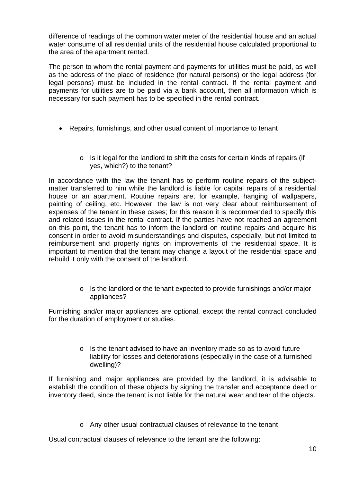difference of readings of the common water meter of the residential house and an actual water consume of all residential units of the residential house calculated proportional to the area of the apartment rented.

The person to whom the rental payment and payments for utilities must be paid, as well as the address of the place of residence (for natural persons) or the legal address (for legal persons) must be included in the rental contract. If the rental payment and payments for utilities are to be paid via a bank account, then all information which is necessary for such payment has to be specified in the rental contract.

- Repairs, furnishings, and other usual content of importance to tenant
	- o Is it legal for the landlord to shift the costs for certain kinds of repairs (if yes, which?) to the tenant?

In accordance with the law the tenant has to perform routine repairs of the subjectmatter transferred to him while the landlord is liable for capital repairs of a residential house or an apartment. Routine repairs are, for example, hanging of wallpapers, painting of ceiling, etc. However, the law is not very clear about reimbursement of expenses of the tenant in these cases; for this reason it is recommended to specify this and related issues in the rental contract. If the parties have not reached an agreement on this point, the tenant has to inform the landlord on routine repairs and acquire his consent in order to avoid misunderstandings and disputes, especially, but not limited to reimbursement and property rights on improvements of the residential space. It is important to mention that the tenant may change a layout of the residential space and rebuild it only with the consent of the landlord.

> o Is the landlord or the tenant expected to provide furnishings and/or major appliances?

Furnishing and/or major appliances are optional, except the rental contract concluded for the duration of employment or studies.

> o Is the tenant advised to have an inventory made so as to avoid future liability for losses and deteriorations (especially in the case of a furnished dwelling)?

If furnishing and major appliances are provided by the landlord, it is advisable to establish the condition of these objects by signing the transfer and acceptance deed or inventory deed, since the tenant is not liable for the natural wear and tear of the objects.

o Any other usual contractual clauses of relevance to the tenant

Usual contractual clauses of relevance to the tenant are the following: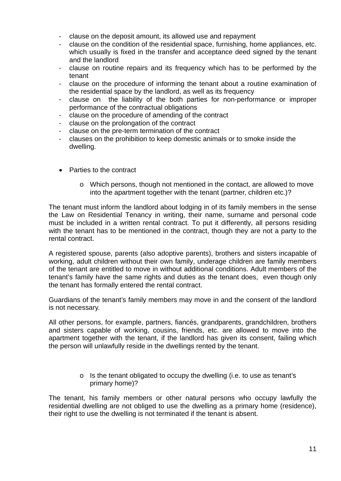- clause on the deposit amount, its allowed use and repayment
- clause on the condition of the residential space, furnishing, home appliances, etc. which usually is fixed in the transfer and acceptance deed signed by the tenant and the landlord
- clause on routine repairs and its frequency which has to be performed by the tenant
- clause on the procedure of informing the tenant about a routine examination of the residential space by the landlord, as well as its frequency
- clause on the liability of the both parties for non-performance or improper performance of the contractual obligations
- clause on the procedure of amending of the contract
- clause on the prolongation of the contract
- clause on the pre-term termination of the contract
- clauses on the prohibition to keep domestic animals or to smoke inside the dwelling.
- Parties to the contract
	- o Which persons, though not mentioned in the contact, are allowed to move into the apartment together with the tenant (partner, children etc.)?

The tenant must inform the landlord about lodging in of its family members in the sense the Law on Residential Tenancy in writing, their name, surname and personal code must be included in a written rental contract. To put it differently, all persons residing with the tenant has to be mentioned in the contract, though they are not a party to the rental contract.

A registered spouse, parents (also adoptive parents), brothers and sisters incapable of working, adult children without their own family, underage children are family members of the tenant are entitled to move in without additional conditions. Adult members of the tenant's family have the same rights and duties as the tenant does, even though only the tenant has formally entered the rental contract.

Guardians of the tenant's family members may move in and the consent of the landlord is not necessary.

All other persons, for example, partners, fiancés, grandparents, grandchildren, brothers and sisters capable of working, cousins, friends, etc. are allowed to move into the apartment together with the tenant, if the landlord has given its consent, failing which the person will unlawfully reside in the dwellings rented by the tenant.

> o Is the tenant obligated to occupy the dwelling (i.e. to use as tenant's primary home)?

The tenant, his family members or other natural persons who occupy lawfully the residential dwelling are not obliged to use the dwelling as a primary home (residence), their right to use the dwelling is not terminated if the tenant is absent.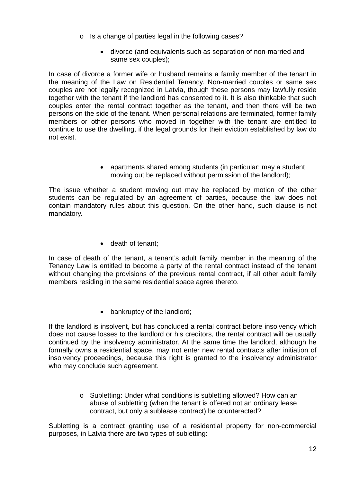- o Is a change of parties legal in the following cases?
	- divorce (and equivalents such as separation of non-married and same sex couples);

In case of divorce a former wife or husband remains a family member of the tenant in the meaning of the Law on Residential Tenancy. Non-married couples or same sex couples are not legally recognized in Latvia, though these persons may lawfully reside together with the tenant if the landlord has consented to it. It is also thinkable that such couples enter the rental contract together as the tenant, and then there will be two persons on the side of the tenant. When personal relations are terminated, former family members or other persons who moved in together with the tenant are entitled to continue to use the dwelling, if the legal grounds for their eviction established by law do not exist.

> apartments shared among students (in particular: may a student moving out be replaced without permission of the landlord);

The issue whether a student moving out may be replaced by motion of the other students can be regulated by an agreement of parties, because the law does not contain mandatory rules about this question. On the other hand, such clause is not mandatory.

• death of tenant;

In case of death of the tenant, a tenant's adult family member in the meaning of the Tenancy Law is entitled to become a party of the rental contract instead of the tenant without changing the provisions of the previous rental contract, if all other adult family members residing in the same residential space agree thereto.

• bankruptcy of the landlord;

If the landlord is insolvent, but has concluded a rental contract before insolvency which does not cause losses to the landlord or his creditors, the rental contract will be usually continued by the insolvency administrator. At the same time the landlord, although he formally owns a residential space, may not enter new rental contracts after initiation of insolvency proceedings, because this right is granted to the insolvency administrator who may conclude such agreement.

> o Subletting: Under what conditions is subletting allowed? How can an abuse of subletting (when the tenant is offered not an ordinary lease contract, but only a sublease contract) be counteracted?

Subletting is a contract granting use of a residential property for non-commercial purposes, in Latvia there are two types of subletting: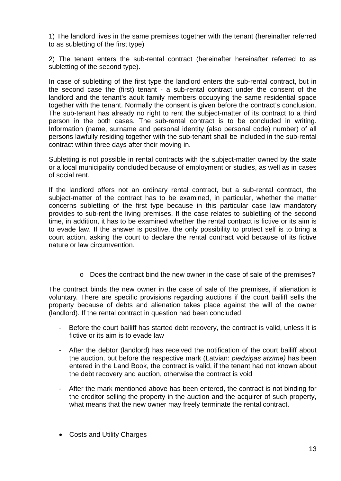1) The landlord lives in the same premises together with the tenant (hereinafter referred to as subletting of the first type)

2) The tenant enters the sub-rental contract (hereinafter hereinafter referred to as subletting of the second type).

In case of subletting of the first type the landlord enters the sub-rental contract, but in the second case the (first) tenant - a sub-rental contract under the consent of the landlord and the tenant's adult family members occupying the same residential space together with the tenant. Normally the consent is given before the contract's conclusion. The sub-tenant has already no right to rent the subject-matter of its contract to a third person in the both cases. The sub-rental contract is to be concluded in writing. Information (name, surname and personal identity (also personal code) number) of all persons lawfully residing together with the sub-tenant shall be included in the sub-rental contract within three days after their moving in.

Subletting is not possible in rental contracts with the subject-matter owned by the state or a local municipality concluded because of employment or studies, as well as in cases of social rent.

If the landlord offers not an ordinary rental contract, but a sub-rental contract, the subject-matter of the contract has to be examined, in particular, whether the matter concerns subletting of the first type because in this particular case law mandatory provides to sub-rent the living premises. If the case relates to subletting of the second time, in addition, it has to be examined whether the rental contract is fictive or its aim is to evade law. If the answer is positive, the only possibility to protect self is to bring a court action, asking the court to declare the rental contract void because of its fictive nature or law circumvention.

o Does the contract bind the new owner in the case of sale of the premises?

The contract binds the new owner in the case of sale of the premises, if alienation is voluntary. There are specific provisions regarding auctions if the court bailiff sells the property because of debts and alienation takes place against the will of the owner (landlord). If the rental contract in question had been concluded

- Before the court bailiff has started debt recovery, the contract is valid, unless it is fictive or its aim is to evade law
- After the debtor (landlord) has received the notification of the court bailiff about the auction, but before the respective mark (Latvian: *piedziņas atzīme)* has been entered in the Land Book, the contract is valid, if the tenant had not known about the debt recovery and auction, otherwise the contract is void
- After the mark mentioned above has been entered, the contract is not binding for the creditor selling the property in the auction and the acquirer of such property, what means that the new owner may freely terminate the rental contract.
- Costs and Utility Charges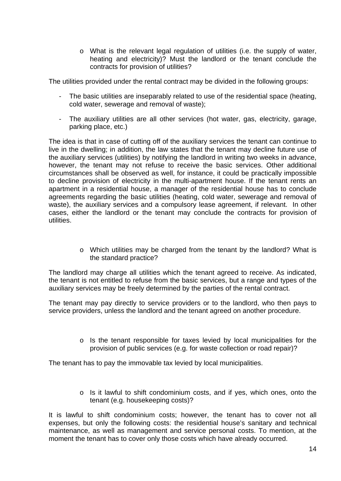$\circ$  What is the relevant legal regulation of utilities (i.e. the supply of water, heating and electricity)? Must the landlord or the tenant conclude the contracts for provision of utilities?

The utilities provided under the rental contract may be divided in the following groups:

- The basic utilities are inseparably related to use of the residential space (heating, cold water, sewerage and removal of waste);
- The auxiliary utilities are all other services (hot water, gas, electricity, garage, parking place, etc.)

The idea is that in case of cutting off of the auxiliary services the tenant can continue to live in the dwelling; in addition, the law states that the tenant may decline future use of the auxiliary services (utilities) by notifying the landlord in writing two weeks in advance, however, the tenant may not refuse to receive the basic services. Other additional circumstances shall be observed as well, for instance, it could be practically impossible to decline provision of electricity in the multi-apartment house. If the tenant rents an apartment in a residential house, a manager of the residential house has to conclude agreements regarding the basic utilities (heating, cold water, sewerage and removal of waste), the auxiliary services and a compulsory lease agreement, if relevant. In other cases, either the landlord or the tenant may conclude the contracts for provision of utilities.

> o Which utilities may be charged from the tenant by the landlord? What is the standard practice?

The landlord may charge all utilities which the tenant agreed to receive. As indicated, the tenant is not entitled to refuse from the basic services, but a range and types of the auxiliary services may be freely determined by the parties of the rental contract.

The tenant may pay directly to service providers or to the landlord, who then pays to service providers, unless the landlord and the tenant agreed on another procedure.

> o Is the tenant responsible for taxes levied by local municipalities for the provision of public services (e.g. for waste collection or road repair)?

The tenant has to pay the immovable tax levied by local municipalities.

o Is it lawful to shift condominium costs, and if yes, which ones, onto the tenant (e.g. housekeeping costs)?

It is lawful to shift condominium costs; however, the tenant has to cover not all expenses, but only the following costs: the residential house's sanitary and technical maintenance, as well as management and service personal costs. To mention, at the moment the tenant has to cover only those costs which have already occurred.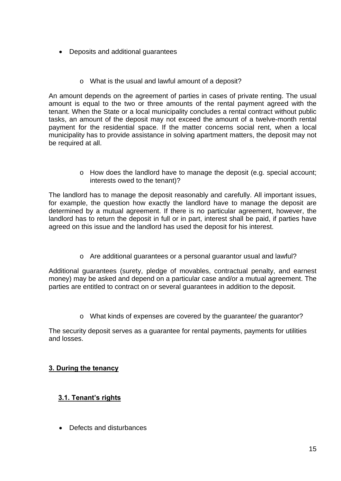- Deposits and additional guarantees
	- o What is the usual and lawful amount of a deposit?

An amount depends on the agreement of parties in cases of private renting. The usual amount is equal to the two or three amounts of the rental payment agreed with the tenant. When the State or a local municipality concludes a rental contract without public tasks, an amount of the deposit may not exceed the amount of a twelve-month rental payment for the residential space. If the matter concerns social rent, when a local municipality has to provide assistance in solving apartment matters, the deposit may not be required at all.

> o How does the landlord have to manage the deposit (e.g. special account; interests owed to the tenant)?

The landlord has to manage the deposit reasonably and carefully. All important issues, for example, the question how exactly the landlord have to manage the deposit are determined by a mutual agreement. If there is no particular agreement, however, the landlord has to return the deposit in full or in part, interest shall be paid, if parties have agreed on this issue and the landlord has used the deposit for his interest.

o Are additional guarantees or a personal guarantor usual and lawful?

Additional guarantees (surety, pledge of movables, contractual penalty, and earnest money) may be asked and depend on a particular case and/or a mutual agreement. The parties are entitled to contract on or several guarantees in addition to the deposit.

o What kinds of expenses are covered by the guarantee/ the guarantor?

The security deposit serves as a guarantee for rental payments, payments for utilities and losses.

## <span id="page-14-1"></span><span id="page-14-0"></span>**3. During the tenancy**

## **3.1. Tenant's rights**

• Defects and disturbances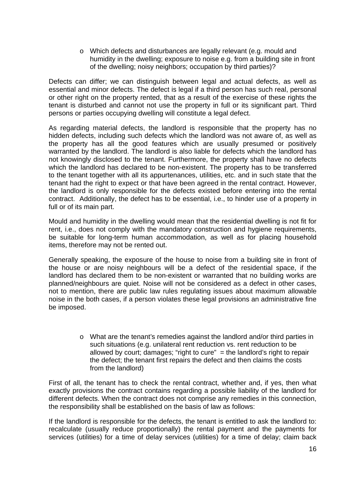o Which defects and disturbances are legally relevant (e.g. mould and humidity in the dwelling; exposure to noise e.g. from a building site in front of the dwelling; noisy neighbors; occupation by third parties)?

Defects can differ; we can distinguish between legal and actual defects, as well as essential and minor defects. The defect is legal if a third person has such real, personal or other right on the property rented, that as a result of the exercise of these rights the tenant is disturbed and cannot not use the property in full or its significant part. Third persons or parties occupying dwelling will constitute a legal defect.

As regarding material defects, the landlord is responsible that the property has no hidden defects, including such defects which the landlord was not aware of, as well as the property has all the good features which are usually presumed or positively warranted by the landlord. The landlord is also liable for defects which the landlord has not knowingly disclosed to the tenant. Furthermore, the property shall have no defects which the landlord has declared to be non-existent. The property has to be transferred to the tenant together with all its appurtenances, utilities, etc. and in such state that the tenant had the right to expect or that have been agreed in the rental contract. However, the landlord is only responsible for the defects existed before entering into the rental contract. Additionally, the defect has to be essential, i.e., to hinder use of a property in full or of its main part.

Mould and humidity in the dwelling would mean that the residential dwelling is not fit for rent, i.e., does not comply with the mandatory construction and hygiene requirements, be suitable for long-term human accommodation, as well as for placing household items, therefore may not be rented out.

Generally speaking, the exposure of the house to noise from a building site in front of the house or are noisy neighbours will be a defect of the residential space, if the landlord has declared them to be non-existent or warranted that no building works are planned/neighbours are quiet. Noise will not be considered as a defect in other cases, not to mention, there are public law rules regulating issues about maximum allowable noise in the both cases, if a person violates these legal provisions an administrative fine be imposed.

> o What are the tenant's remedies against the landlord and/or third parties in such situations (e.g. unilateral rent reduction vs. rent reduction to be allowed by court; damages; "right to cure"  $=$  the landlord's right to repair the defect; the tenant first repairs the defect and then claims the costs from the landlord)

First of all, the tenant has to check the rental contract, whether and, if yes, then what exactly provisions the contract contains regarding a possible liability of the landlord for different defects. When the contract does not comprise any remedies in this connection, the responsibility shall be established on the basis of law as follows:

If the landlord is responsible for the defects, the tenant is entitled to ask the landlord to: recalculate (usually reduce proportionally) the rental payment and the payments for services (utilities) for a time of delay services (utilities) for a time of delay; claim back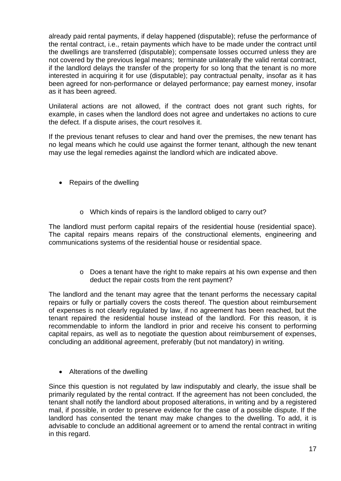already paid rental payments, if delay happened (disputable); refuse the performance of the rental contract, i.e., retain payments which have to be made under the contract until the dwellings are transferred (disputable); compensate losses occurred unless they are not covered by the previous legal means; terminate unilaterally the valid rental contract, if the landlord delays the transfer of the property for so long that the tenant is no more interested in acquiring it for use (disputable); pay contractual penalty, insofar as it has been agreed for non-performance or delayed performance; pay earnest money, insofar as it has been agreed.

Unilateral actions are not allowed, if the contract does not grant such rights, for example, in cases when the landlord does not agree and undertakes no actions to cure the defect. If a dispute arises, the court resolves it.

If the previous tenant refuses to clear and hand over the premises, the new tenant has no legal means which he could use against the former tenant, although the new tenant may use the legal remedies against the landlord which are indicated above.

- Repairs of the dwelling
	- o Which kinds of repairs is the landlord obliged to carry out?

The landlord must perform capital repairs of the residential house (residential space). The capital repairs means repairs of the constructional elements, engineering and communications systems of the residential house or residential space.

> o Does a tenant have the right to make repairs at his own expense and then deduct the repair costs from the rent payment?

The landlord and the tenant may agree that the tenant performs the necessary capital repairs or fully or partially covers the costs thereof. The question about reimbursement of expenses is not clearly regulated by law, if no agreement has been reached, but the tenant repaired the residential house instead of the landlord. For this reason, it is recommendable to inform the landlord in prior and receive his consent to performing capital repairs, as well as to negotiate the question about reimbursement of expenses, concluding an additional agreement, preferably (but not mandatory) in writing.

• Alterations of the dwelling

Since this question is not regulated by law indisputably and clearly, the issue shall be primarily regulated by the rental contract. If the agreement has not been concluded, the tenant shall notify the landlord about proposed alterations, in writing and by a registered mail, if possible, in order to preserve evidence for the case of a possible dispute. If the landlord has consented the tenant may make changes to the dwelling. To add, it is advisable to conclude an additional agreement or to amend the rental contract in writing in this regard.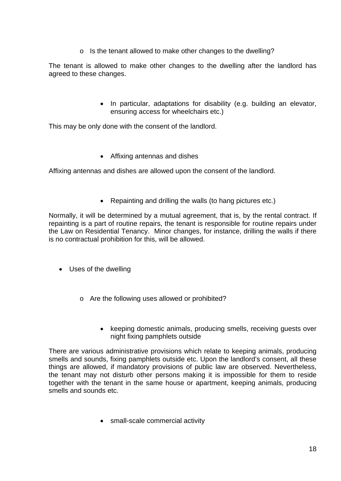o Is the tenant allowed to make other changes to the dwelling?

The tenant is allowed to make other changes to the dwelling after the landlord has agreed to these changes.

> • In particular, adaptations for disability (e.g. building an elevator, ensuring access for wheelchairs etc.)

This may be only done with the consent of the landlord.

Affixing antennas and dishes

Affixing antennas and dishes are allowed upon the consent of the landlord.

• Repainting and drilling the walls (to hang pictures etc.)

Normally, it will be determined by a mutual agreement, that is, by the rental contract. If repainting is a part of routine repairs, the tenant is responsible for routine repairs under the Law on Residential Tenancy. Minor changes, for instance, drilling the walls if there is no contractual prohibition for this, will be allowed.

- Uses of the dwelling
	- o Are the following uses allowed or prohibited?
		- keeping domestic animals, producing smells, receiving quests over night fixing pamphlets outside

There are various administrative provisions which relate to keeping animals, producing smells and sounds, fixing pamphlets outside etc. Upon the landlord's consent, all these things are allowed, if mandatory provisions of public law are observed. Nevertheless, the tenant may not disturb other persons making it is impossible for them to reside together with the tenant in the same house or apartment, keeping animals, producing smells and sounds etc.

• small-scale commercial activity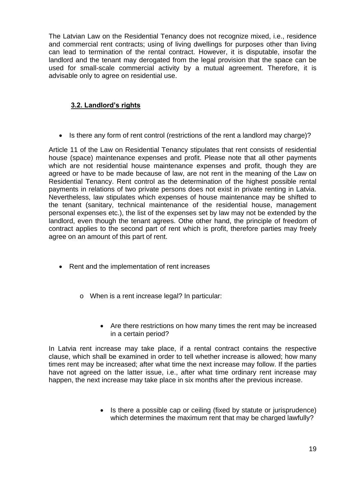The Latvian Law on the Residential Tenancy does not recognize mixed, i.e., residence and commercial rent contracts; using of living dwellings for purposes other than living can lead to termination of the rental contract. However, it is disputable, insofar the landlord and the tenant may derogated from the legal provision that the space can be used for small-scale commercial activity by a mutual agreement. Therefore, it is advisable only to agree on residential use.

## **3.2. Landlord's rights**

• Is there any form of rent control (restrictions of the rent a landlord may charge)?

<span id="page-18-0"></span>Article 11 of the Law on Residential Tenancy stipulates that rent consists of residential house (space) maintenance expenses and profit. Please note that all other payments which are not residential house maintenance expenses and profit, though they are agreed or have to be made because of law, are not rent in the meaning of the Law on Residential Tenancy. Rent control as the determination of the highest possible rental payments in relations of two private persons does not exist in private renting in Latvia. Nevertheless, law stipulates which expenses of house maintenance may be shifted to the tenant (sanitary, technical maintenance of the residential house, management personal expenses etc.), the list of the expenses set by law may not be extended by the landlord, even though the tenant agrees. Othe other hand, the principle of freedom of contract applies to the second part of rent which is profit, therefore parties may freely agree on an amount of this part of rent.

- Rent and the implementation of rent increases
	- o When is a rent increase legal? In particular:
		- Are there restrictions on how many times the rent may be increased in a certain period?

In Latvia rent increase may take place, if a rental contract contains the respective clause, which shall be examined in order to tell whether increase is allowed; how many times rent may be increased; after what time the next increase may follow. If the parties have not agreed on the latter issue, i.e., after what time ordinary rent increase may happen, the next increase may take place in six months after the previous increase.

> • Is there a possible cap or ceiling (fixed by statute or jurisprudence) which determines the maximum rent that may be charged lawfully?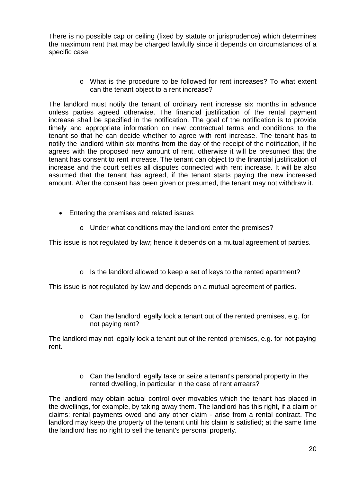There is no possible cap or ceiling (fixed by statute or jurisprudence) which determines the maximum rent that may be charged lawfully since it depends on circumstances of a specific case.

> o What is the procedure to be followed for rent increases? To what extent can the tenant object to a rent increase?

The landlord must notify the tenant of ordinary rent increase six months in advance unless parties agreed otherwise. The financial justification of the rental payment increase shall be specified in the notification. The goal of the notification is to provide timely and appropriate information on new contractual terms and conditions to the tenant so that he can decide whether to agree with rent increase. The tenant has to notify the landlord within six months from the day of the receipt of the notification, if he agrees with the proposed new amount of rent, otherwise it will be presumed that the tenant has consent to rent increase. The tenant can object to the financial justification of increase and the court settles all disputes connected with rent increase. It will be also assumed that the tenant has agreed, if the tenant starts paying the new increased amount. After the consent has been given or presumed, the tenant may not withdraw it.

- Entering the premises and related issues
	- o Under what conditions may the landlord enter the premises?

This issue is not regulated by law; hence it depends on a mutual agreement of parties.

o Is the landlord allowed to keep a set of keys to the rented apartment?

This issue is not regulated by law and depends on a mutual agreement of parties.

o Can the landlord legally lock a tenant out of the rented premises, e.g. for not paying rent?

The landlord may not legally lock a tenant out of the rented premises, e.g. for not paying rent.

> o Can the landlord legally take or seize a tenant's personal property in the rented dwelling, in particular in the case of rent arrears?

The landlord may obtain actual control over movables which the tenant has placed in the dwellings, for example, by taking away them. The landlord has this right, if a claim or claims: rental payments owed and any other claim - arise from a rental contract. The landlord may keep the property of the tenant until his claim is satisfied; at the same time the landlord has no right to sell the tenant's personal property.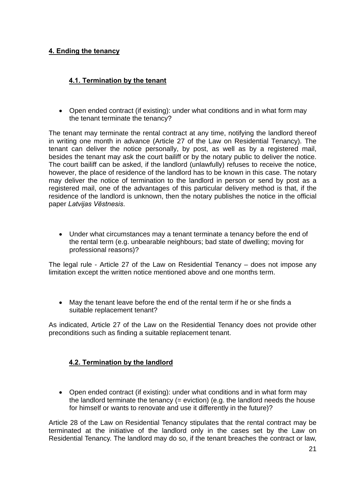## <span id="page-20-1"></span><span id="page-20-0"></span>**4. Ending the tenancy**

## **4.1. Termination by the tenant**

• Open ended contract (if existing): under what conditions and in what form may the tenant terminate the tenancy?

The tenant may terminate the rental contract at any time, notifying the landlord thereof in writing one month in advance (Article 27 of the Law on Residential Tenancy). The tenant can deliver the notice personally, by post, as well as by a registered mail, besides the tenant may ask the court bailiff or by the notary public to deliver the notice. The court bailiff can be asked, if the landlord (unlawfully) refuses to receive the notice, however, the place of residence of the landlord has to be known in this case. The notary may deliver the notice of termination to the landlord in person or send by post as a registered mail, one of the advantages of this particular delivery method is that, if the residence of the landlord is unknown, then the notary publishes the notice in the official paper *Latvijas Vēstnesis*.

 Under what circumstances may a tenant terminate a tenancy before the end of the rental term (e.g. unbearable neighbours; bad state of dwelling; moving for professional reasons)?

The legal rule - Article 27 of the Law on Residential Tenancy – does not impose any limitation except the written notice mentioned above and one months term.

 May the tenant leave before the end of the rental term if he or she finds a suitable replacement tenant?

<span id="page-20-2"></span>As indicated, Article 27 of the Law on the Residential Tenancy does not provide other preconditions such as finding a suitable replacement tenant.

## **4.2. Termination by the landlord**

• Open ended contract (if existing): under what conditions and in what form may the landlord terminate the tenancy  $(=$  eviction)  $(e.g., the$  landlord needs the house for himself or wants to renovate and use it differently in the future)?

Article 28 of the Law on Residential Tenancy stipulates that the rental contract may be terminated at the initiative of the landlord only in the cases set by the Law on Residential Tenancy. The landlord may do so, if the tenant breaches the contract or law,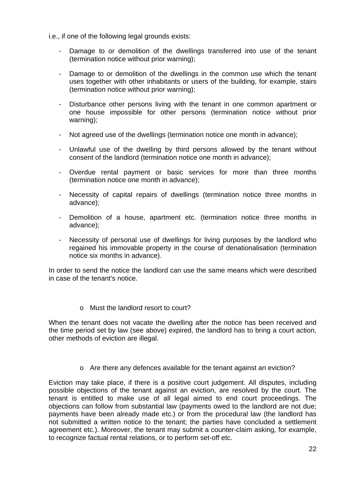i.e., if one of the following legal grounds exists:

- Damage to or demolition of the dwellings transferred into use of the tenant (termination notice without prior warning);
- Damage to or demolition of the dwellings in the common use which the tenant uses together with other inhabitants or users of the building, for example, stairs (termination notice without prior warning);
- Disturbance other persons living with the tenant in one common apartment or one house impossible for other persons (termination notice without prior warning);
- Not agreed use of the dwellings (termination notice one month in advance);
- Unlawful use of the dwelling by third persons allowed by the tenant without consent of the landlord (termination notice one month in advance);
- Overdue rental payment or basic services for more than three months (termination notice one month in advance);
- Necessity of capital repairs of dwellings (termination notice three months in advance);
- Demolition of a house, apartment etc. (termination notice three months in advance);
- Necessity of personal use of dwellings for living purposes by the landlord who regained his immovable property in the course of denationalisation (termination notice six months in advance).

In order to send the notice the landlord can use the same means which were described in case of the tenant's notice.

o Must the landlord resort to court?

When the tenant does not vacate the dwelling after the notice has been received and the time period set by law (see above) expired, the landlord has to bring a court action, other methods of eviction are illegal.

o Are there any defences available for the tenant against an eviction?

Eviction may take place, if there is a positive court judgement. All disputes, including possible objections of the tenant against an eviction, are resolved by the court. The tenant is entitled to make use of all legal aimed to end court proceedings. The objections can follow from substantial law (payments owed to the landlord are not due; payments have been already made etc.) or from the procedural law (the landlord has not submitted a written notice to the tenant; the parties have concluded a settlement agreement etc.). Moreover, the tenant may submit a counter-claim asking, for example, to recognize factual rental relations, or to perform set-off etc.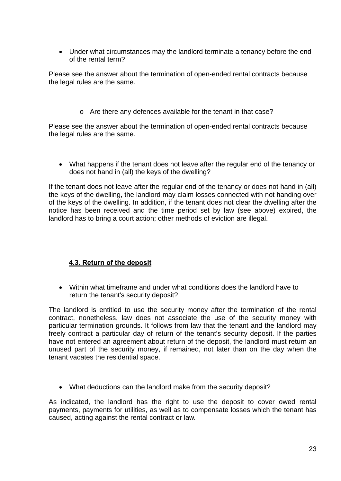Under what circumstances may the landlord terminate a tenancy before the end of the rental term?

Please see the answer about the termination of open-ended rental contracts because the legal rules are the same.

o Are there any defences available for the tenant in that case?

Please see the answer about the termination of open-ended rental contracts because the legal rules are the same.

 What happens if the tenant does not leave after the regular end of the tenancy or does not hand in (all) the keys of the dwelling?

If the tenant does not leave after the regular end of the tenancy or does not hand in (all) the keys of the dwelling, the landlord may claim losses connected with not handing over of the keys of the dwelling. In addition, if the tenant does not clear the dwelling after the notice has been received and the time period set by law (see above) expired, the landlord has to bring a court action; other methods of eviction are illegal.

## **4.3. Return of the deposit**

<span id="page-22-0"></span> Within what timeframe and under what conditions does the landlord have to return the tenant's security deposit?

The landlord is entitled to use the security money after the termination of the rental contract, nonetheless, law does not associate the use of the security money with particular termination grounds. It follows from law that the tenant and the landlord may freely contract a particular day of return of the tenant's security deposit. If the parties have not entered an agreement about return of the deposit, the landlord must return an unused part of the security money, if remained, not later than on the day when the tenant vacates the residential space.

What deductions can the landlord make from the security deposit?

As indicated, the landlord has the right to use the deposit to cover owed rental payments, payments for utilities, as well as to compensate losses which the tenant has caused, acting against the rental contract or law.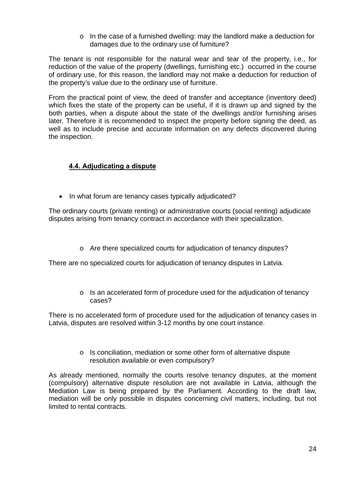o In the case of a furnished dwelling: may the landlord make a deduction for damages due to the ordinary use of furniture?

The tenant is not responsible for the natural wear and tear of the property, i.e., for reduction of the value of the property (dwellings, furnishing etc.) occurred in the course of ordinary use, for this reason, the landlord may not make a deduction for reduction of the property's value due to the ordinary use of furniture.

From the practical point of view, the deed of transfer and acceptance (inventory deed) which fixes the state of the property can be useful, if it is drawn up and signed by the both parties, when a dispute about the state of the dwellings and/or furnishing arises later. Therefore it is recommended to inspect the property before signing the deed, as well as to include precise and accurate information on any defects discovered during the inspection.

## **4.4. Adjudicating a dispute**

• In what forum are tenancy cases typically adjudicated?

<span id="page-23-0"></span>The ordinary courts (private renting) or administrative courts (social renting) adjudicate disputes arising from tenancy contract in accordance with their specialization.

o Are there specialized courts for adjudication of tenancy disputes?

There are no specialized courts for adjudication of tenancy disputes in Latvia.

o Is an accelerated form of procedure used for the adjudication of tenancy cases?

There is no accelerated form of procedure used for the adjudication of tenancy cases in Latvia, disputes are resolved within 3-12 months by one court instance.

> o Is conciliation, mediation or some other form of alternative dispute resolution available or even compulsory?

As already mentioned, normally the courts resolve tenancy disputes, at the moment (compulsory) alternative dispute resolution are not available in Latvia, although the Mediation Law is being prepared by the Parliament. According to the draft law, mediation will be only possible in disputes concerning civil matters, including, but not limited to rental contracts.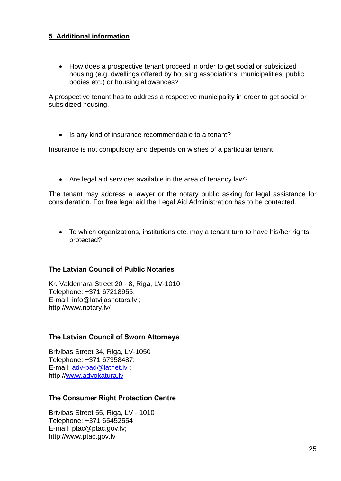## <span id="page-24-0"></span>**5. Additional information**

 How does a prospective tenant proceed in order to get social or subsidized housing (e.g. dwellings offered by housing associations, municipalities, public bodies etc.) or housing allowances?

A prospective tenant has to address a respective municipality in order to get social or subsidized housing.

• Is any kind of insurance recommendable to a tenant?

Insurance is not compulsory and depends on wishes of a particular tenant.

Are legal aid services available in the area of tenancy law?

The tenant may address a lawyer or the notary public asking for legal assistance for consideration. For free legal aid the Legal Aid Administration has to be contacted.

 To which organizations, institutions etc. may a tenant turn to have his/her rights protected?

## **The Latvian Council of Public Notaries**

Kr. Valdemara Street 20 - 8, Riga, LV-1010 Telephone: +371 67218955; E-mail: [info@latvijasnotars.lv](mailto:info@latvijasnotars.lv) ; http://www.notary.lv/

## **The Latvian Council of Sworn Attorneys**

Brivibas Street 34, Riga, LV-1050 Telephone: +371 67358487; E-mail: [adv-pad@latnet.lv](mailto:adv-pad@latnet.lv) ; http:/[/www.advokatura.lv](http://www.advokatura.lv/)

## **The Consumer Right Protection Centre**

Brivibas Street 55, Riga, LV - 1010 Telephone: +371 65452554 E-mail: [ptac@ptac.gov.lv;](mailto:ptac@ptac.gov.lv) http://www.ptac.gov.lv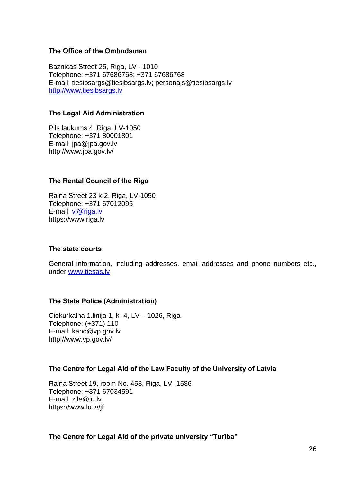### **The Office of the Ombudsman**

Baznicas Street 25, Riga, LV - 1010 Telephone: +371 67686768; +371 67686768 E-mail: tiesibsargs@tiesibsargs.lv; personals@tiesibsargs.lv [http://www.tiesibsargs.lv](http://www.tiesibsargs.lv/)

#### **The Legal Aid Administration**

Pils laukums 4, Riga, LV-1050 Telephone: +371 80001801 E-mail: [jpa@jpa.gov.lv](mailto:jpa@jpa.gov.lv)  http://www.jpa.gov.lv/

### **The Rental Council of the Riga**

Raina Street 23 k-2, Riga, LV-1050 Telephone: +371 67012095 E-mail: [vi@riga.lv](mailto:vi@riga.lv) https://www.riga.lv

### **The state courts**

General information, including addresses, email addresses and phone numbers etc., under [www.tiesas.lv](http://www.tiesas.lv/) 

### **The State Police (Administration)**

Ciekurkalna 1.linija 1, k- 4, LV – 1026, Riga Telephone: (+371) 110 E-mail: [kanc@vp.gov.lv](mailto:kanc@vp.gov.lv)  <http://www.vp.gov.lv/>

### **The Centre for Legal Aid of the Law Faculty of the University of Latvia**

Raina Street 19, room No. 458, Riga, LV- 1586 Telephone: +371 67034591 E-mail: zile@lu.lv https://www.lu.lv/jf

### **The Centre for Legal Aid of the private university "Turība"**